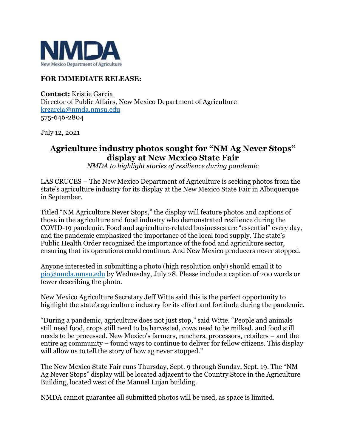

## **FOR IMMEDIATE RELEASE:**

**Contact:** Kristie Garcia Director of Public Affairs, New Mexico Department of Agriculture [krgarcia@nmda.nmsu.edu](mailto:krgarcia@nmda.nmsu.edu) 575-646-2804

July 12, 2021

## **Agriculture industry photos sought for "NM Ag Never Stops" display at New Mexico State Fair**

*NMDA to highlight stories of resilience during pandemic*

LAS CRUCES – The New Mexico Department of Agriculture is seeking photos from the state's agriculture industry for its display at the New Mexico State Fair in Albuquerque in September.

Titled "NM Agriculture Never Stops," the display will feature photos and captions of those in the agriculture and food industry who demonstrated resilience during the COVID-19 pandemic. Food and agriculture-related businesses are "essential" every day, and the pandemic emphasized the importance of the local food supply. The state's Public Health Order recognized the importance of the food and agriculture sector, ensuring that its operations could continue. And New Mexico producers never stopped.

Anyone interested in submitting a photo (high resolution only) should email it to [pio@nmda.nmsu.edu](mailto:pio@nmda.nmsu.edu) by Wednesday, July 28. Please include a caption of 200 words or fewer describing the photo.

New Mexico Agriculture Secretary Jeff Witte said this is the perfect opportunity to highlight the state's agriculture industry for its effort and fortitude during the pandemic.

"During a pandemic, agriculture does not just stop," said Witte. "People and animals still need food, crops still need to be harvested, cows need to be milked, and food still needs to be processed. New Mexico's farmers, ranchers, processors, retailers – and the entire ag community – found ways to continue to deliver for fellow citizens. This display will allow us to tell the story of how ag never stopped."

The New Mexico State Fair runs Thursday, Sept. 9 through Sunday, Sept. 19. The "NM Ag Never Stops" display will be located adjacent to the Country Store in the Agriculture Building, located west of the Manuel Lujan building.

NMDA cannot guarantee all submitted photos will be used, as space is limited.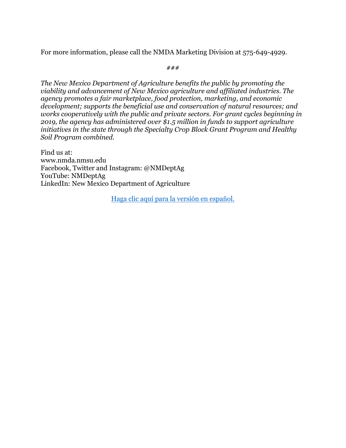For more information, please call the NMDA Marketing Division at 575-649-4929.

*###*

*The New Mexico Department of Agriculture benefits the public by promoting the viability and advancement of New Mexico agriculture and affiliated industries. The agency promotes a fair marketplace, food protection, marketing, and economic development; supports the beneficial use and conservation of natural resources; and works cooperatively with the public and private sectors. For grant cycles beginning in 2019, the agency has administered over \$1.5 million in funds to support agriculture initiatives in the state through the Specialty Crop Block Grant Program and Healthy Soil Program combined.* 

Find us at: [www.nmda.nmsu.edu](http://www.nmda.nmsu.edu/) Facebook, Twitter and Instagram: @NMDeptAg YouTube: NMDeptAg LinkedIn: New Mexico Department of Agriculture

[Haga clic aquí para la versión en español.](https://www.nmda.nmsu.edu/2021/05/se-buscan-fotos-de-la-industria-agricola-para-la-exhibicion-la-agricultura-de-nuevo-mexico-nunca-cesa-en-la-feria-estatal-de-nuevo-mexico/)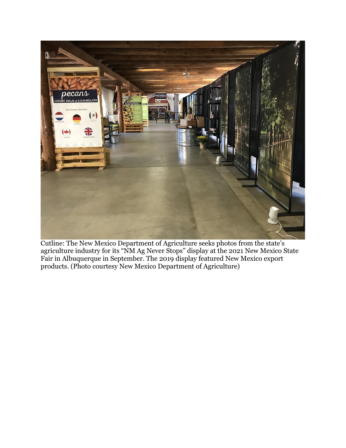

Cutline: The New Mexico Department of Agriculture seeks photos from the state's agriculture industry for its "NM Ag Never Stops" display at the 2021 New Mexico State Fair in Albuquerque in September. The 2019 display featured New Mexico export products. (Photo courtesy New Mexico Department of Agriculture)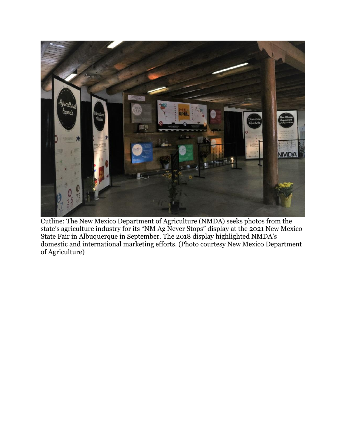

Cutline: The New Mexico Department of Agriculture (NMDA) seeks photos from the state's agriculture industry for its "NM Ag Never Stops" display at the 2021 New Mexico State Fair in Albuquerque in September. The 2018 display highlighted NMDA's domestic and international marketing efforts. (Photo courtesy New Mexico Department of Agriculture)